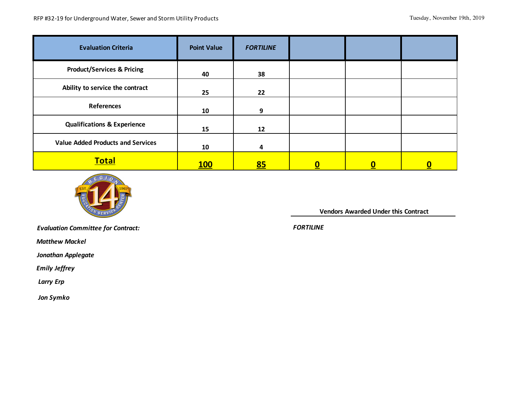| <b>Evaluation Criteria</b>               | <b>Point Value</b> | <b>FORTILINE</b> |  |  |
|------------------------------------------|--------------------|------------------|--|--|
| <b>Product/Services &amp; Pricing</b>    | 40                 | 38               |  |  |
| Ability to service the contract          | 25                 | 22               |  |  |
| <b>References</b>                        | 10                 | 9                |  |  |
| <b>Qualifications &amp; Experience</b>   | 15                 | 12               |  |  |
| <b>Value Added Products and Services</b> | 10                 | 4                |  |  |
| <b>Total</b>                             | <u>100</u>         | 85               |  |  |



 **Vendors Awarded Under this Contract** 

*Evaluation Committee for Contract:* 

 *Matthew Mackel*

*Jonathan Applegate*

 *Emily Jeffrey*

 *Larry Erp*

 *Jon Symko*

*FORTILINE*